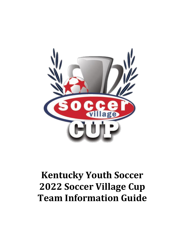

# **Kentucky Youth Soccer 2022 Soccer Village Cup Team Information Guide**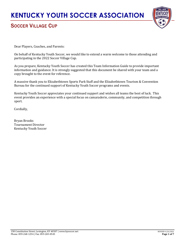

### SOCCER VILLAGE CUP

Dear Players, Coaches, and Parents:

On behalf of Kentucky Youth Soccer, we would like to extend a warm welcome to those attending and participating in the 2022 Soccer Village Cup.

As you prepare, Kentucky Youth Soccer has created this Team Information Guide to provide important information and guidance. It is strongly suggested that this document be shared with your team and a copy brought to the event for reference.

A massive thank you to Elizabethtown Sports Park Staff and the Elizabethtown Tourism & Convention Bureau for the continued support of Kentucky Youth Soccer programs and events.

Kentucky Youth Soccer appreciates your continued support and wishes all teams the best of luck. This event provides an experience with a special focus on camaraderie, community, and competition through sport.

Cordially,

Bryan Brooks Tournament Director Kentucky Youth Soccer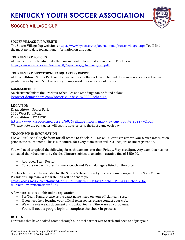

### SOCCER VILLAGE CUP

#### **SOCCER VILLAGE CUP WEBSITE**

The Soccer Village Cup website is [https://www.kysoccer.net/tournaments/soccer-village-cup/.](https://www.kysoccer.net/tournaments/soccer-village-cup/)You'll find the most up to date tournament information on this page.

#### **TOURNAMENT POLICIES**

All teams must be familiar with the Tournament Polices that are in effect. The link is https://www.kysoccer.net/assets/60/6/policies - challenge\_cup.pdf

#### **TOURNAMENT DIRECTORS/HEADQUARTERSOFFICE**

At Elizabethtown Sports Park, our tournament staff office is located behind the concessions area at the main pavilion area by Field 5 in the event you may need the assistance of our staff.

#### **GAME SCHEDULE**

An electronic link to the Brackets, Schedules and Standings can be found below: [kysoccer.demosphere.com/soccer-village-cup/2022-schedule](https://kysoccer.demosphere-secure.com/soccer-village-cup/2022-schedule)

#### **LOCATION**

Elizabethtown Sports Park 1401 West Park Road Elizabethtown, KY 42701 [https://www.kysoccer.net/assets/60/6/elizabethtown\\_map\\_-\\_sv\\_cup\\_update\\_2022-\\_v2.pdf](https://www.kysoccer.net/assets/60/6/elizabethtown_map_-_sv_cup_update_2022-_v2.pdf) \*\*Please note the park gates will open 1 hour prior to the first game each day

#### **TEAM CHECK IN INFORMATION**

We will utilize a Google form for all teams to check in. This will allow us to review your team's information prior to the tournament. This is **REQUIRED** for every team as we will **NOT** require onsite registration.

You will need to upload the following for each team no later than **Friday, May 6 at 5pm**. Any team that has not uploaded their documents by the deadline are subject to an administrative fine of \$250.00.

- Approved Team Roster
- Concussion Certificates for Every Coach and Team Managers listed on the roster

The link below is only available for the Soccer Village Cup – if you are a team manager for the State Cup or President's Cup team, a separate link will be sent to you. [https://docs.google.com/forms/d/e/1FAIpQLSdgDESDXgs1acTA\\_XrbF-KPuFR8Gi-B2fcloLeOA](https://docs.google.com/forms/d/e/1FAIpQLSdgDESDXgs1acTA_XrbF-KPuFR8Gi-B2fcloLeOA-fF0rNeMA/viewform?usp=sf_link)[fF0rNeMA/viewform?usp=sf\\_link](https://docs.google.com/forms/d/e/1FAIpQLSdgDESDXgs1acTA_XrbF-KPuFR8Gi-B2fcloLeOA-fF0rNeMA/viewform?usp=sf_link)

A few notes as you do this online registration:

- For Team Name, please us the exact name listed on your official team roster
- If you need help locating your official team roster, please contact your club.
- We will review each document and contact teams if there are any problems.
- You will need a google login to complete the check in process.

#### **HOTELS**

For teams that have booked rooms through our hotel partner Site Search and need to adjust your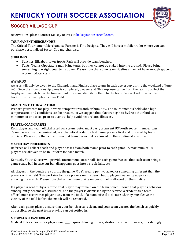

### SOCCER VILLAGE CUP

reservations, please contact Kellsey Reeves at [kellsey@sitesearchllc.com.](mailto:kellsey@sitesearchllc.com)

#### **TOURNAMENT MERCHANDISE**

The Official Tournament Merchandise Partner is Fine Designs. They will have a mobile trailer where you can purchase personalized Soccer Cup merchandise.

#### **SIDELINES**

- Benches: Elizabethtown Sports Park will provide team benches.
- Tents: Teams/Spectators may bring tents, but they cannot be staked into the ground. Please bring something to weight your tents down. Please note that some team sidelines may not have enough space to accommodate a tent.

#### **AWARDS**

Awards will only be given to the Champion and Finalist place teams in each age group during the weekend of June 4-5. Once the championship game is completed, please send ONE representative from the team to collect the trophy and medals from the tournament office and distribute them to the team. We will set up a couple of backdrops for team photos near Field 5.

#### **ADAPTING TO THE WEATHER**

Prepare your team for play in warm temperatures and/or humidity. The tournament is held when high temperatures and conditions can be present, so we suggest that players begin to hydrate their bodies a minimum of one week prior to event to help avoid heat related illnesses.

#### **PLAYER/COACH PASSES**

Each player and team official listed on a team roster must carry a current US Youth Soccer member pass. Team passes must be laminated, in alphabetical order by last name, players first and followed by team officials. Please note that a maximum of 4 team personnel is allowed on the sideline at any time.

#### **MATCH DAY PROCEDURES**

Referees will collect coach and player passes from both teams prior to each game. A maximum of 18 players are allowed to be in uniform for each match.

Kentucky Youth Soccer will provide tournament soccer balls for each game. We ask that each team bring a game ready ball in case our ball disappears, goes into a creek, lake, etc.

All players in the bench area during the game MUST wear a penny, jacket, or something different than the players on the field. This pertains to those players on the bench but to players warming up prior to entering the match. Please note that a maximum of 4 team personnel is allowed on the sideline.

If a player is sent off by a referee, that player may remain on the team bench. Should that player's behavior subsequently become a disturbance, and the player is dismissed by the referee, a credentialed team official must escort that player away from the field. If a team official is dismissed, they must leave the vicinity of the field before the match will be restarted.

After each game, please ensure that your bench area is clean, and your team vacates the bench as quickly as possible, so the next team playing can get settled in.

#### **MEDICAL RELEASE FORMS**

Medical Release forms for players are not required during the registration process. However, it is strongly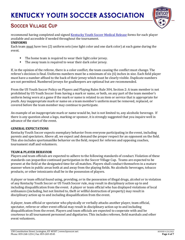

### SOCCER VILLAGE CUP

recommend having completed and signed Kentucky [Youth Soccer Medical Release](https://www.kysoccer.net/assets/60/6/medical_release_form1.pdf) forms for each player available and accessible if needed throughout the tournament.

#### **UNIFORMS**

Each team must have two (2) uniform sets (one light color and one dark color) at each game during the event.

- The home team is required to wear their light color jersey.
- The away team is required to wear their dark color jersey.

If, in the opinion of the referee, there is a color conflict, the team causing the conflict must change. The referee's decision is final. Uniforms numbers must be a minimum of six (6) inches in size. Each field player must have a number affixed to the back of their jersey which must be clearly visible. Duplicate numbers are not permitted. Numbered jerseys for goalkeepers are optional but are recommended.

From the US Youth Soccer Policy on Players and Playing Rules Rule 304, Section 2: A team member is not prohibited by US Youth Soccer from having a mark or name, or both, on any part of the team member's uniform being worn at a game if the mark or name is related to an item or service that is appropriate for youth. Any inappropriate mark or name on a team member's uniform must be removed, replaced, or covered before the team member may continue to participate.

An example of an inappropriate mark or name would be, but is not limited to, any alcoholic beverage. If there is any question about a logo, marking or sponsor, it is strongly suggested that you inquire well in advance of the start of the event.

#### **GENERAL EXPECTATIONS**

Kentucky Youth Soccer expects exemplary behavior from everyone participating in the event, including parents and spectators. Above all, we expect and demand the proper respect for an opponent on the field. This also includes sportsmanlike behavior on the field, respect for referees and opposing coaches, tournament staff and volunteers.

#### **TEAM & PLAYER BEHAVIOR**

Players and team officials are expected to adhere to the following standards of conduct. Violation of these standards can jeopardize continued participation in the Soccer Village Cup. Teams are expected to be present at the field at the designated time for all matches. Players shall conduct themselves in a mature manner when in public areas both at and away from the playing fields. No alcoholic beverages, tobacco products, or other intoxicants shall be in the possession of players.

A player or team official found using, providing, or in the possession of illegal drugs, alcohol or in violation of any Kentucky Youth Soccer or US Youth Soccer rule, may result in disciplinary action up to and including disqualification from the event. A player or team official who has displayed violations of local ordinances (including, but not limited to, theft or willful destruction of property) may result in disciplinary action up to and including disqualification from the event.

A player, team official or spectator who physically or verbally attacks another player, team official, spectator, referee or other event official may result in disciplinary action up to and including disqualification from the event. Players and team officials are expected to cooperate with and be courteous to all tournament personnel and dignitaries. This includes referees, field marshals and other event volunteers.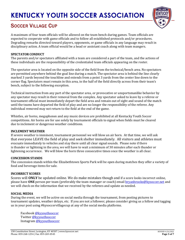

### SOCCER VILLAGE CUP

A maximum of four team officials will be allowed on the team bench during games. Team officials are expected to cooperate with game officials and to follow all established protocols and/or procedures. Degrading remarks directed toward players, opponents, or game officials in any language may result in disciplinary action. A team official would be a head or assistant coach along with team mangers.

#### **SPECTATOR CONDUCT**

The parents and/or spectators affiliated with a team are considered a part of the team, and the actions of these individuals are the responsibility of the credentialed team officials appearing on the roster.

The spectator area is located on the opposite side of the field from the technical/bench area. No spectators are permitted anywhere behind the goal line during a match. The spectator area is behind the line clearly marked 3 yards beyond the touchline and extends from a point 3 yards from the center line down to the corner flag. Spectators must remain in this area, in the half of the field directly across from their team's bench, subject to the following exception.

Technical instruction from any part of the spectator area, or provocative or unsportsmanlike behavior by any spectator may result in their removal from the complex. Any spectator asked to leave by a referee or tournament official must immediately depart the field area and remain out of sight and sound of the match until the teams have departed the field of play and are no longer the responsibility of the referee. Any individual removed may not return to the field at the end of the game.

Whistles, air horns, megaphones and any music devices are prohibited at all Kentucky Youth Soccer competitions. Air horns are for use solely by tournament officials to signal when fields must be cleared due to inclement or dangerous weather conditions.

#### **INCLEMENT WEATHER**

If severe weather is imminent, tournament personnel we will blow an air horn. At that time, we will ask that everyone LEAVE the field of play and seek shelter immediately. All visitors and athletes must evacuate immediately to vehicles and stay there until all clear signal sounds. Please note if there is thunder or lightning in the area, we will have to wait a minimum of 30 minutes after each thunder or lightening occurrence. We will blow the horn three consecutive times once the weather is all clear.

#### **CONCESSION STANDS**

 The concession stands within the Elizabethtown Sports Park will be open during matches they offer a variety of food and beverage items for sale.

#### **INCORRECT SCORES**

Scores will **ONLY** be updated online. We do make mistakes though and if a score looks incorrect online, please have **ONE** person per team (preferably the team manager or coach) emai[l bryanbrooks@kysoccer.net](mailto:bryanbrooks@kysoccer.net) and we will check on the information that we received by the referees and update as needed.

#### **SOCIAL MEDIA**

During the event, we will be active on social media through the tournament, from posting pictures to tournament updates, weather delays, etc. If you are not a follower, please consider giving us a follow and tagging us in your post using #kysoccervillagecup at any of the social media platforms.

Facebook [@kyyouthsoccer](https://www.facebook.com/kyyouthsoccer/) Twitter [@kyyouthsoccer](https://twitter.com/kyyouthsoccer?lang=en) Instagram [@kyyouthsoccer](https://www.instagram.com/kyyouthsoccer/?hl=en)